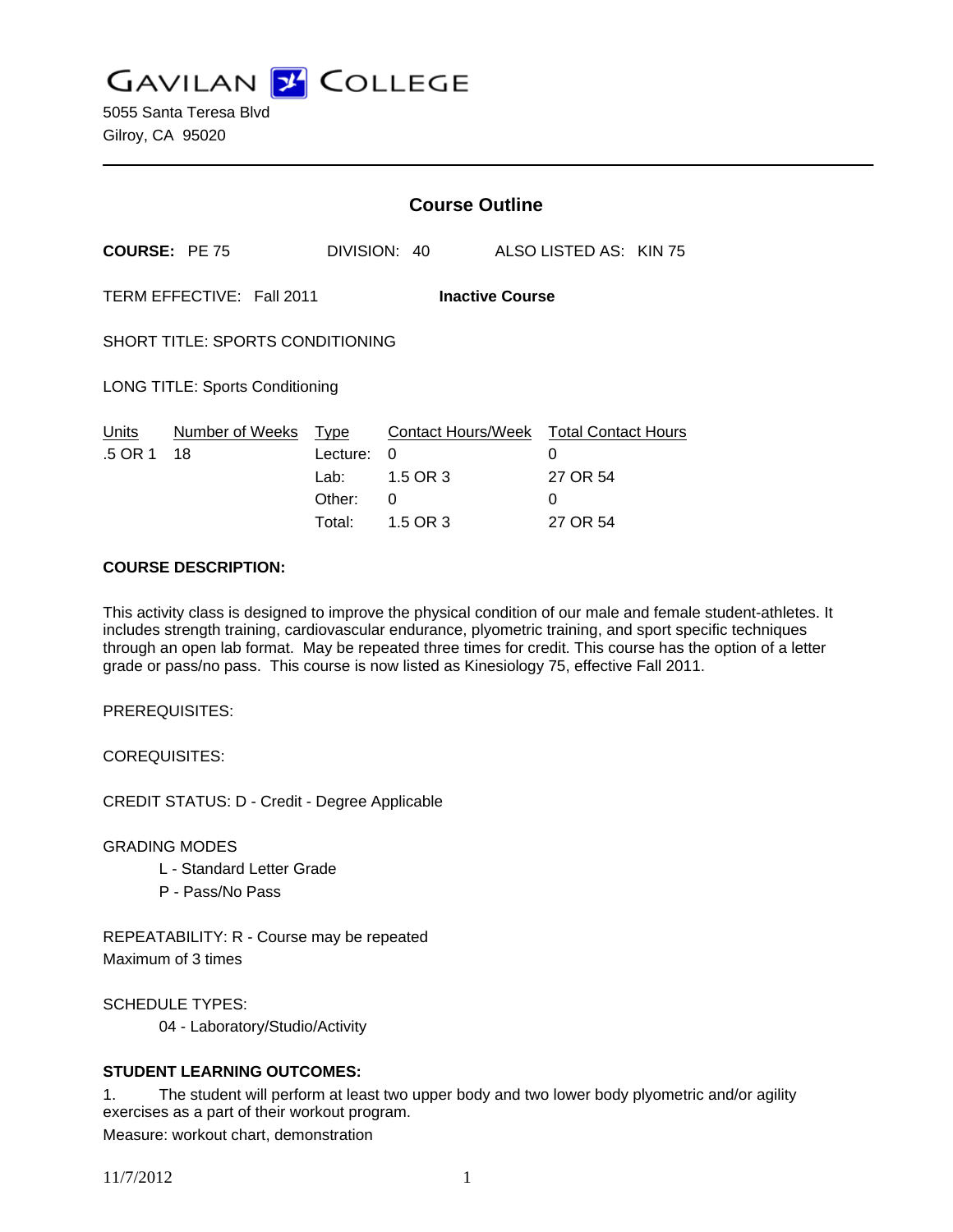**GAVILAN Z COLLEGE** 

|                                                     |                       | <b>Course Outline</b>                               |                                                             |        |                                                    |  |
|-----------------------------------------------------|-----------------------|-----------------------------------------------------|-------------------------------------------------------------|--------|----------------------------------------------------|--|
| <b>COURSE: PE 75</b>                                |                       |                                                     | DIVISION: 40                                                |        | ALSO LISTED AS: KIN 75                             |  |
| TERM EFFECTIVE: Fall 2011<br><b>Inactive Course</b> |                       |                                                     |                                                             |        |                                                    |  |
| SHORT TITLE: SPORTS CONDITIONING                    |                       |                                                     |                                                             |        |                                                    |  |
| <b>LONG TITLE: Sports Conditioning</b>              |                       |                                                     |                                                             |        |                                                    |  |
| <b>Units</b><br>.5 OR 1                             | Number of Weeks<br>18 | <u>Type</u><br>Lecture:<br>Lab:<br>Other:<br>Total: | <b>Contact Hours/Week</b><br>0<br>1.5 OR 3<br>0<br>1.5 OR 3 | 0<br>0 | <b>Total Contact Hours</b><br>27 OR 54<br>27 OR 54 |  |

### **COURSE DESCRIPTION:**

This activity class is designed to improve the physical condition of our male and female student-athletes. It includes strength training, cardiovascular endurance, plyometric training, and sport specific techniques through an open lab format. May be repeated three times for credit. This course has the option of a letter grade or pass/no pass. This course is now listed as Kinesiology 75, effective Fall 2011.

PREREQUISITES:

COREQUISITES:

CREDIT STATUS: D - Credit - Degree Applicable

GRADING MODES

- L Standard Letter Grade
- P Pass/No Pass

REPEATABILITY: R - Course may be repeated Maximum of 3 times

SCHEDULE TYPES:

04 - Laboratory/Studio/Activity

## **STUDENT LEARNING OUTCOMES:**

1. The student will perform at least two upper body and two lower body plyometric and/or agility exercises as a part of their workout program. Measure: workout chart, demonstration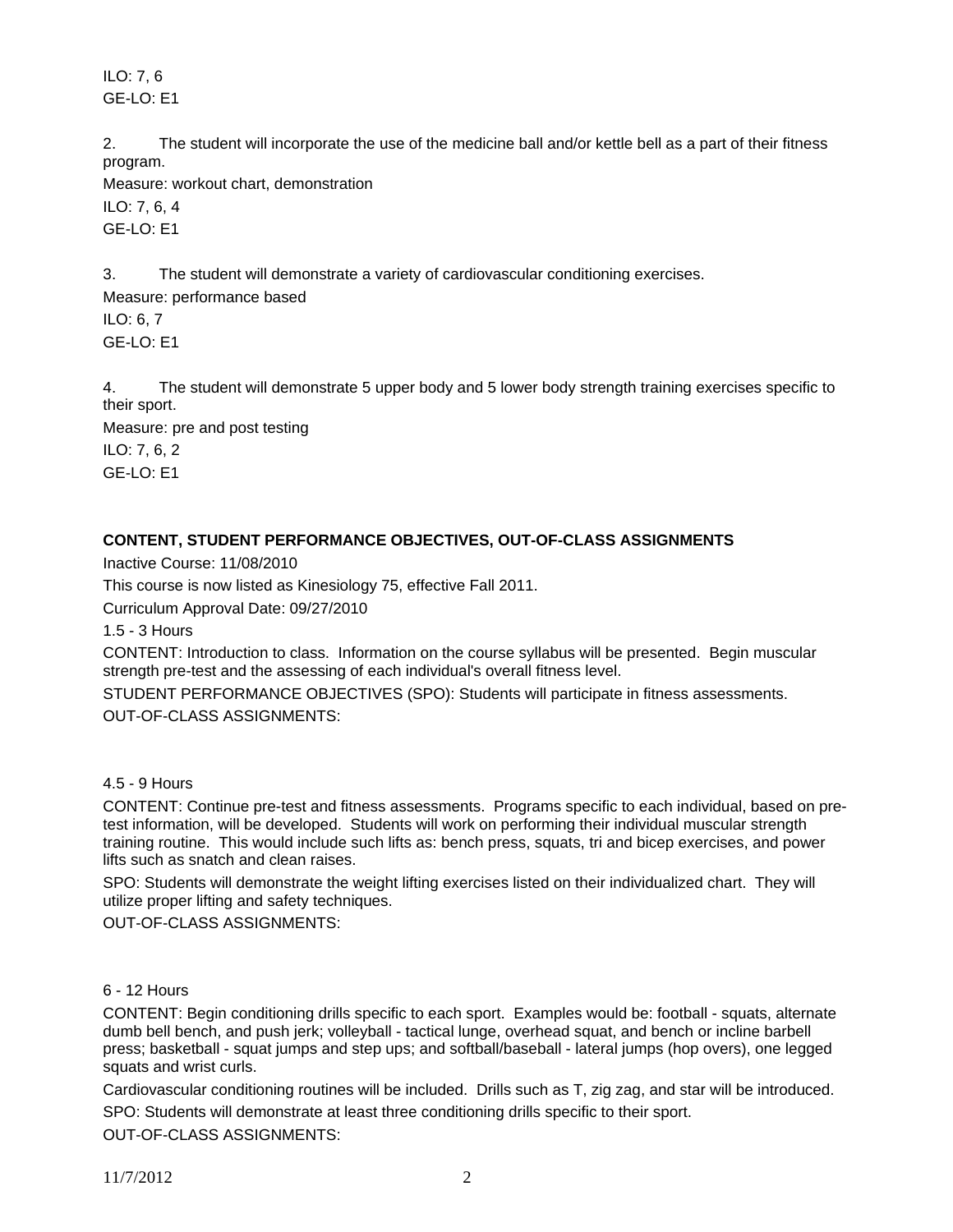ILO: 7, 6 GE-LO: E1

2. The student will incorporate the use of the medicine ball and/or kettle bell as a part of their fitness program.

Measure: workout chart, demonstration ILO: 7, 6, 4 GE-LO: E1

3. The student will demonstrate a variety of cardiovascular conditioning exercises.

Measure: performance based ILO: 6, 7 GE-LO: E1

4. The student will demonstrate 5 upper body and 5 lower body strength training exercises specific to their sport.

Measure: pre and post testing ILO: 7, 6, 2 GE-LO: E1

# **CONTENT, STUDENT PERFORMANCE OBJECTIVES, OUT-OF-CLASS ASSIGNMENTS**

Inactive Course: 11/08/2010

This course is now listed as Kinesiology 75, effective Fall 2011.

Curriculum Approval Date: 09/27/2010

1.5 - 3 Hours

CONTENT: Introduction to class. Information on the course syllabus will be presented. Begin muscular strength pre-test and the assessing of each individual's overall fitness level.

STUDENT PERFORMANCE OBJECTIVES (SPO): Students will participate in fitness assessments.

OUT-OF-CLASS ASSIGNMENTS:

# 4.5 - 9 Hours

CONTENT: Continue pre-test and fitness assessments. Programs specific to each individual, based on pretest information, will be developed. Students will work on performing their individual muscular strength training routine. This would include such lifts as: bench press, squats, tri and bicep exercises, and power lifts such as snatch and clean raises.

SPO: Students will demonstrate the weight lifting exercises listed on their individualized chart. They will utilize proper lifting and safety techniques.

OUT-OF-CLASS ASSIGNMENTS:

## 6 - 12 Hours

CONTENT: Begin conditioning drills specific to each sport. Examples would be: football - squats, alternate dumb bell bench, and push jerk; volleyball - tactical lunge, overhead squat, and bench or incline barbell press; basketball - squat jumps and step ups; and softball/baseball - lateral jumps (hop overs), one legged squats and wrist curls.

Cardiovascular conditioning routines will be included. Drills such as T, zig zag, and star will be introduced. SPO: Students will demonstrate at least three conditioning drills specific to their sport. OUT-OF-CLASS ASSIGNMENTS:

11/7/2012 2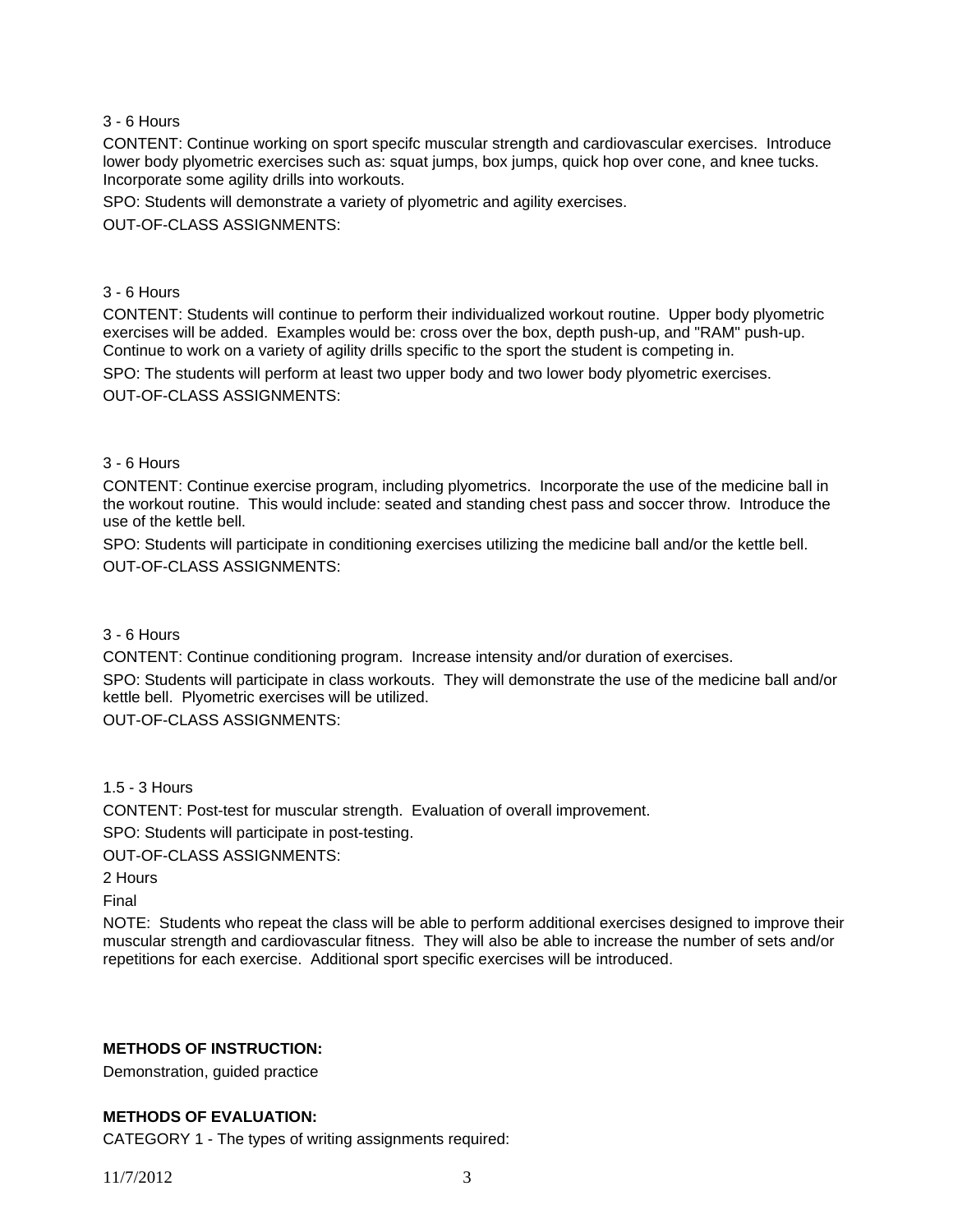## 3 - 6 Hours

CONTENT: Continue working on sport specifc muscular strength and cardiovascular exercises. Introduce lower body plyometric exercises such as: squat jumps, box jumps, quick hop over cone, and knee tucks. Incorporate some agility drills into workouts.

SPO: Students will demonstrate a variety of plyometric and agility exercises.

OUT-OF-CLASS ASSIGNMENTS:

#### 3 - 6 Hours

CONTENT: Students will continue to perform their individualized workout routine. Upper body plyometric exercises will be added. Examples would be: cross over the box, depth push-up, and "RAM" push-up. Continue to work on a variety of agility drills specific to the sport the student is competing in.

SPO: The students will perform at least two upper body and two lower body plyometric exercises. OUT-OF-CLASS ASSIGNMENTS:

### 3 - 6 Hours

CONTENT: Continue exercise program, including plyometrics. Incorporate the use of the medicine ball in the workout routine. This would include: seated and standing chest pass and soccer throw. Introduce the use of the kettle bell.

SPO: Students will participate in conditioning exercises utilizing the medicine ball and/or the kettle bell. OUT-OF-CLASS ASSIGNMENTS:

#### 3 - 6 Hours

CONTENT: Continue conditioning program. Increase intensity and/or duration of exercises.

SPO: Students will participate in class workouts. They will demonstrate the use of the medicine ball and/or kettle bell. Plyometric exercises will be utilized.

OUT-OF-CLASS ASSIGNMENTS:

1.5 - 3 Hours

CONTENT: Post-test for muscular strength. Evaluation of overall improvement.

SPO: Students will participate in post-testing.

OUT-OF-CLASS ASSIGNMENTS:

2 Hours

Final

NOTE: Students who repeat the class will be able to perform additional exercises designed to improve their muscular strength and cardiovascular fitness. They will also be able to increase the number of sets and/or repetitions for each exercise. Additional sport specific exercises will be introduced.

## **METHODS OF INSTRUCTION:**

Demonstration, guided practice

## **METHODS OF EVALUATION:**

CATEGORY 1 - The types of writing assignments required: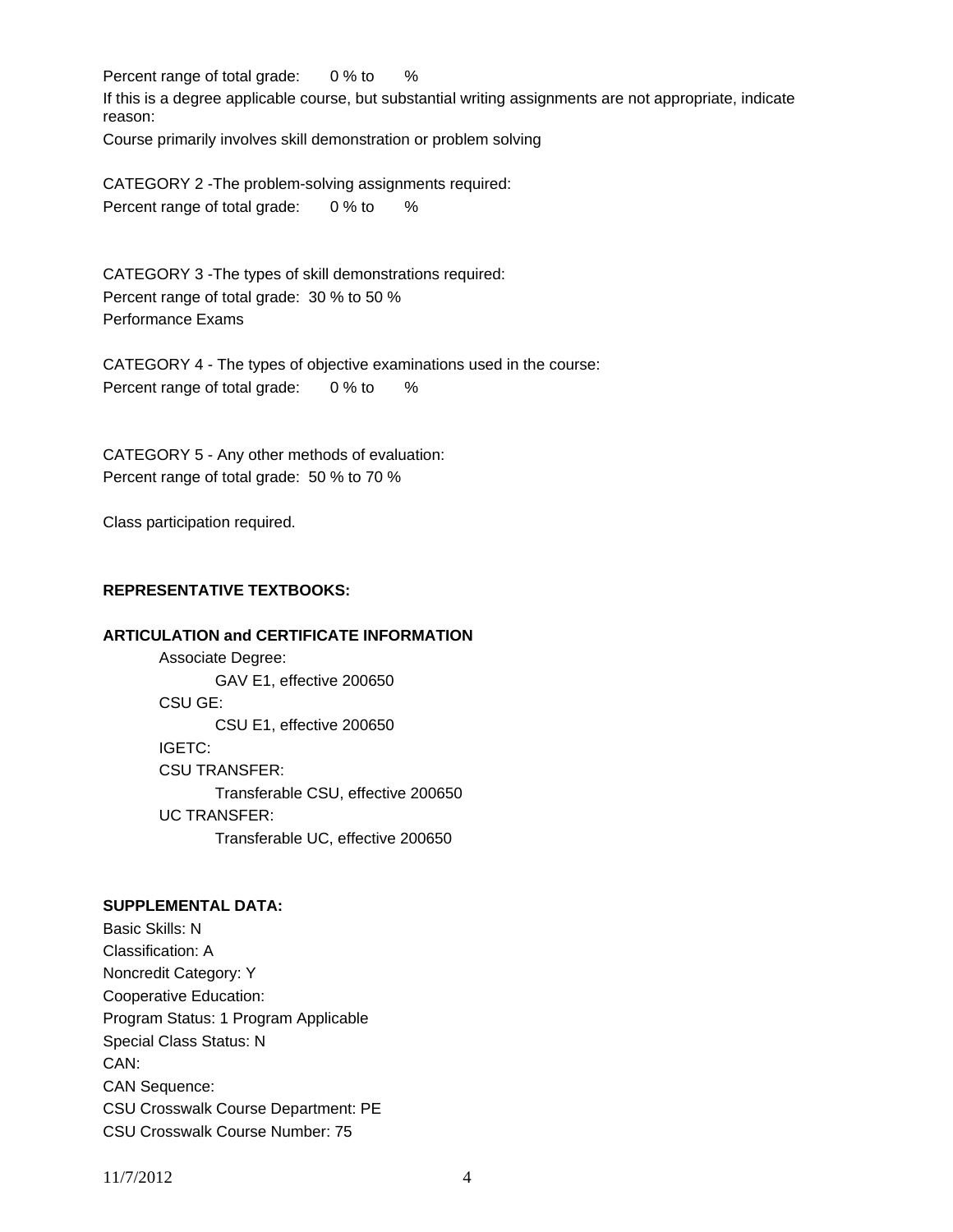Percent range of total grade: 0 % to %

If this is a degree applicable course, but substantial writing assignments are not appropriate, indicate reason:

Course primarily involves skill demonstration or problem solving

CATEGORY 2 -The problem-solving assignments required: Percent range of total grade: 0 % to %

CATEGORY 3 -The types of skill demonstrations required: Percent range of total grade: 30 % to 50 % Performance Exams

CATEGORY 4 - The types of objective examinations used in the course: Percent range of total grade: 0 % to %

CATEGORY 5 - Any other methods of evaluation: Percent range of total grade: 50 % to 70 %

Class participation required.

## **REPRESENTATIVE TEXTBOOKS:**

## **ARTICULATION and CERTIFICATE INFORMATION**

 Associate Degree: GAV E1, effective 200650 CSU GE: CSU E1, effective 200650 IGETC: CSU TRANSFER: Transferable CSU, effective 200650 UC TRANSFER: Transferable UC, effective 200650

## **SUPPLEMENTAL DATA:**

Basic Skills: N Classification: A Noncredit Category: Y Cooperative Education: Program Status: 1 Program Applicable Special Class Status: N CAN: CAN Sequence: CSU Crosswalk Course Department: PE CSU Crosswalk Course Number: 75